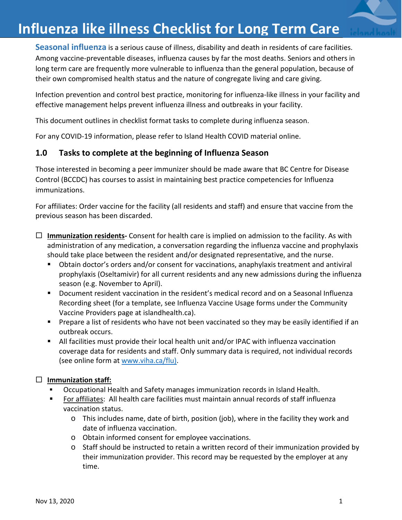**Seasonal influenza** is a serious cause of illness, disability and death in residents of care facilities. Among vaccine-preventable diseases, influenza causes by far the most deaths. Seniors and others in long term care are frequently more vulnerable to influenza than the general population, because of their own compromised health status and the nature of congregate living and care giving.

Infection prevention and control best practice, monitoring for influenza-like illness in your facility and effective management helps prevent influenza illness and outbreaks in your facility.

This document outlines in checklist format tasks to complete during influenza season.

For any COVID-19 information, please refer to Island Health COVID material online.

# **1.0 Tasks to complete at the beginning of Influenza Season**

Those interested in becoming a peer immunizer should be made aware that BC Centre for Disease Control (BCCDC) has courses to assist in maintaining best practice competencies for Influenza immunizations.

For affiliates: Order vaccine for the facility (all residents and staff) and ensure that vaccine from the previous season has been discarded.

- **Immunization residents-** Consent for health care is implied on admission to the facility. As with administration of any medication, a conversation regarding the influenza vaccine and prophylaxis should take place between the resident and/or designated representative, and the nurse.
	- Obtain doctor's orders and/or consent for vaccinations, anaphylaxis treatment and antiviral prophylaxis (Oseltamivir) for all current residents and any new admissions during the influenza season (e.g. November to April).
	- Document resident vaccination in the resident's medical record and on a Seasonal Influenza Recording sheet (for a template, see Influenza Vaccine Usage forms under the Community Vaccine Providers page at islandhealth.ca).
	- **Prepare a list of residents who have not been vaccinated so they may be easily identified if an** outbreak occurs.
	- All facilities must provide their local health unit and/or IPAC with influenza vaccination coverage data for residents and staff. Only summary data is required, not individual records (see online form at [www.viha.ca/flu\)](http://www.viha.ca/flu).

### **Immunization staff:**

- Occupational Health and Safety manages immunization records in Island Health.
- For affiliates: All health care facilities must maintain annual records of staff influenza vaccination status.
	- o This includes name, date of birth, position (job), where in the facility they work and date of influenza vaccination.
	- o Obtain informed consent for employee vaccinations.
	- $\circ$  Staff should be instructed to retain a written record of their immunization provided by their immunization provider. This record may be requested by the employer at any time.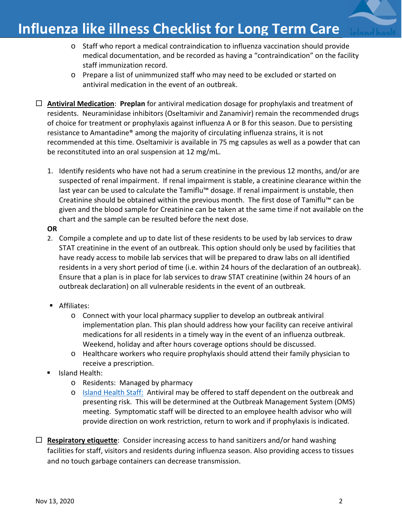- o Staff who report a medical contraindication to influenza vaccination should provide medical documentation, and be recorded as having a "contraindication" on the facility staff immunization record.
- o Prepare a list of unimmunized staff who may need to be excluded or started on antiviral medication in the event of an outbreak.
- **Antiviral Medication**: **Preplan** for antiviral medication dosage for prophylaxis and treatment of residents. Neuraminidase inhibitors (Oseltamivir and Zanamivir) remain the recommended drugs of choice for treatment or prophylaxis against influenza A or B for this season. Due to persisting resistance to Amantadine® among the majority of circulating influenza strains, it is not recommended at this time. Oseltamivir is available in 75 mg capsules as well as a powder that can be reconstituted into an oral suspension at 12 mg/mL.
	- 1. Identify residents who have not had a serum creatinine in the previous 12 months, and/or are suspected of renal impairment. If renal impairment is stable, a creatinine clearance within the last year can be used to calculate the Tamiflu™ dosage. If renal impairment is unstable, then Creatinine should be obtained within the previous month. The first dose of Tamiflu™ can be given and the blood sample for Creatinine can be taken at the same time if not available on the chart and the sample can be resulted before the next dose.
	- **OR**
	- 2. Compile a complete and up to date list of these residents to be used by lab services to draw STAT creatinine in the event of an outbreak. This option should only be used by facilities that have ready access to mobile lab services that will be prepared to draw labs on all identified residents in a very short period of time (i.e. within 24 hours of the declaration of an outbreak). Ensure that a plan is in place for lab services to draw STAT creatinine (within 24 hours of an outbreak declaration) on all vulnerable residents in the event of an outbreak.
	- **Affiliates:** 
		- o Connect with your local pharmacy supplier to develop an outbreak antiviral implementation plan. This plan should address how your facility can receive antiviral medications for all residents in a timely way in the event of an influenza outbreak. Weekend, holiday and after hours coverage options should be discussed.
		- o Healthcare workers who require prophylaxis should attend their family physician to receive a prescription.
	- Island Health:
		- o Residents: Managed by pharmacy
		- o [Island Health Staff:](https://intranet.viha.ca/departments/infection_prevention/Documents/toolkits/ILI-RC-5-residential-congregate-living-for-all-influenza-cases-and-during-outbreaks-for-front-line-staff.pdf) Antiviral may be offered to staff dependent on the outbreak and presenting risk. This will be determined at the Outbreak Management System (OMS) meeting. Symptomatic staff will be directed to an employee health advisor who will provide direction on work restriction, return to work and if prophylaxis is indicated.
- **Respiratory etiquette**: Consider increasing access to hand sanitizers and/or hand washing facilities for staff, visitors and residents during influenza season. Also providing access to tissues and no touch garbage containers can decrease transmission.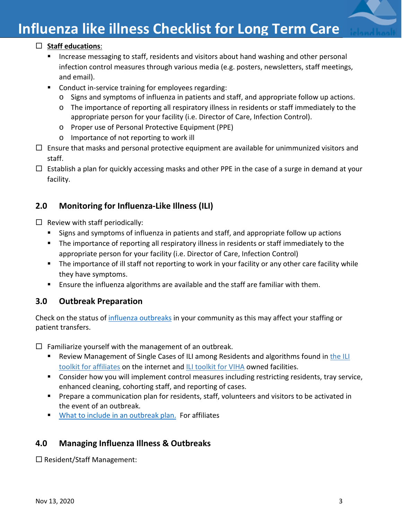

# **Influenza like illness Checklist for Long Term Care**

## **Staff educations**:

- **Increase messaging to staff, residents and visitors about hand washing and other personal** infection control measures through various media (e.g. posters, newsletters, staff meetings, and email).
- **Conduct in-service training for employees regarding:** 
	- o Signs and symptoms of influenza in patients and staff, and appropriate follow up actions.
	- o The importance of reporting all respiratory illness in residents or staff immediately to the appropriate person for your facility (i.e. Director of Care, Infection Control).
	- o Proper use of Personal Protective Equipment (PPE)
	- o Importance of not reporting to work ill
- $\Box$  Ensure that masks and personal protective equipment are available for unimmunized visitors and staff.
- $\Box$  Establish a plan for quickly accessing masks and other PPE in the case of a surge in demand at your facility.

# **2.0 Monitoring for Influenza-Like Illness (ILI)**

- $\Box$  Review with staff periodically:
	- **Signs and symptoms of influenza in patients and staff, and appropriate follow up actions**
	- **The importance of reporting all respiratory illness in residents or staff immediately to the** appropriate person for your facility (i.e. Director of Care, Infection Control)
	- The importance of ill staff not reporting to work in your facility or any other care facility while they have symptoms.
	- Ensure the influenza algorithms are available and the staff are familiar with them.

# **3.0 Outbreak Preparation**

Check on the status of [influenza outbreaks](https://www.islandhealth.ca/learn-about-health/infection-prevention-control-ipac/active-outbreak) in your community as this may affect your staffing or patient transfers.

 $\Box$  Familiarize yourself with the management of an outbreak.

- Review Management of Single Cases of ILI among Residents and algorithms found in the ILI [toolkit for affiliates](https://www.islandhealth.ca/learn-about-health/infection-prevention-control-ipac/toolkits-infectious-diseases) on the internet and [ILI toolkit for VIHA](https://intranet.viha.ca/departments/infection_prevention/toolkits/Pages/influenza-like-Illness-toolkit.aspx) owned facilities.
- Consider how you will implement control measures including restricting residents, tray service, enhanced cleaning, cohorting staff, and reporting of cases.
- **Prepare a communication plan for residents, staff, volunteers and visitors to be activated in** the event of an outbreak.
- [What to include in an outbreak plan.](https://www.islandhealth.ca/sites/default/files/2018-05/what-to-include-outbreak-management-plan.pdf) For affiliates

# **4.0 Managing Influenza Illness & Outbreaks**

 $\square$  Resident/Staff Management: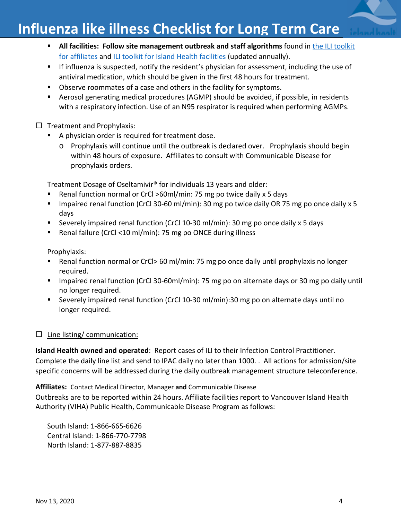# **Influenza like illness Checklist for Long Term Care**

- **All facilities: Follow site management outbreak and staff algorithms** found in the ILI toolkit [for affiliates](https://www.islandhealth.ca/learn-about-health/infection-prevention-control-ipac/toolkits-infectious-diseases) and [ILI toolkit for Island Health facilities](https://intranet.viha.ca/departments/infection_prevention/toolkits/Pages/Influenza-likeIllnessToolkit.aspx) (updated annually).
- If influenza is suspected, notify the resident's physician for assessment, including the use of antiviral medication, which should be given in the first 48 hours for treatment.
- **D**bserve roommates of a case and others in the facility for symptoms.
- Aerosol generating medical procedures (AGMP) should be avoided, if possible, in residents with a respiratory infection. Use of an N95 respirator is required when performing AGMPs.

 $\Box$  Treatment and Prophylaxis:

- A physician order is required for treatment dose.
	- o Prophylaxis will continue until the outbreak is declared over. Prophylaxis should begin within 48 hours of exposure. Affiliates to consult with Communicable Disease for prophylaxis orders.

Treatment Dosage of Oseltamivir® for individuals 13 years and older:

- Renal function normal or CrCl >60ml/min: 75 mg po twice daily x 5 days
- Impaired renal function (CrCl 30-60 ml/min): 30 mg po twice daily OR 75 mg po once daily x 5 days
- Severely impaired renal function (CrCl 10-30 ml/min): 30 mg po once daily x 5 days
- Renal failure (CrCl <10 ml/min): 75 mg po ONCE during illness

Prophylaxis:

- Renal function normal or CrCl> 60 ml/min: 75 mg po once daily until prophylaxis no longer required.
- **IF Impaired renal function (CrCl 30-60ml/min): 75 mg po on alternate days or 30 mg po daily until** no longer required.
- Severely impaired renal function (CrCl 10-30 ml/min):30 mg po on alternate days until no longer required.

#### $\Box$  Line listing/ communication:

**Island Health owned and operated**: Report cases of ILI to their Infection Control Practitioner. Complete the daily line list and send to IPAC daily no later than 1000. . All actions for admission/site specific concerns will be addressed during the daily outbreak management structure teleconference.

**Affiliates:** Contact Medical Director, Manager **and** Communicable Disease

Outbreaks are to be reported within 24 hours. Affiliate facilities report to Vancouver Island Health Authority (VIHA) Public Health, Communicable Disease Program as follows:

South Island: 1-866-665-6626 Central Island: 1-866-770-7798 North Island: 1-877-887-8835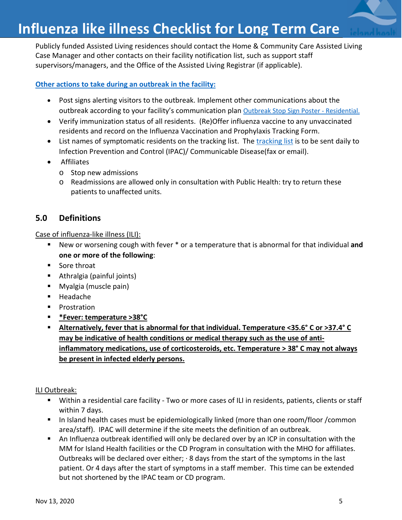Publicly funded Assisted Living residences should contact the Home & Community Care Assisted Living Case Manager and other contacts on their facility notification list, such as support staff supervisors/managers, and the Office of the Assisted Living Registrar (if applicable).

#### **[Other actions to take](https://intranet.viha.ca/departments/infection_prevention/toolkits/Pages/ResidentialCongregate.aspx) during an outbreak in the facility:**

- Post signs alerting visitors to the outbreak. Implement other communications about the outbreak according to your facility's communication plan **[Outbreak Stop Sign Poster -](https://intranet.viha.ca/departments/infection_prevention/Documents/posters_and_brochures/regional-stop-sign-outbreaks-ResCare.pdf) Residential**.
- Verify immunization status of all residents. (Re)Offer influenza vaccine to any unvaccinated residents and record on the Influenza Vaccination and Prophylaxis Tracking Form.
- List names of symptomatic residents on the [tracking list](https://www.islandhealth.ca/sites/default/files/ili-tracking-list.pdf). The tracking list is to be sent daily to Infection Prevention and Control (IPAC)/ Communicable Disease(fax or email).
- Affiliates
	- o Stop new admissions
	- o Readmissions are allowed only in consultation with Public Health: try to return these patients to unaffected units.

# **5.0 Definitions**

#### Case of influenza-like illness (ILI):

- New or worsening cough with fever \* or a temperature that is abnormal for that individual **and one or more of the following**:
- **Sore throat**
- Athralgia (painful joints)
- Myalgia (muscle pain)
- Headache
- **Prostration**
- **\*Fever: temperature >38°C**
- **Alternatively, fever that is abnormal for that individual. Temperature <35.6° C or >37.4° C may be indicative of health conditions or medical therapy such as the use of antiinflammatory medications, use of corticosteroids, etc. Temperature > 38° C may not always be present in infected elderly persons.**

#### ILI Outbreak:

- Within a residential care facility Two or more cases of ILI in residents, patients, clients or staff within 7 days.
- In Island health cases must be epidemiologically linked (more than one room/floor /common area/staff). IPAC will determine if the site meets the definition of an outbreak.
- An Influenza outbreak identified will only be declared over by an ICP in consultation with the MM for Island Health facilities or the CD Program in consultation with the MHO for affiliates. Outbreaks will be declared over either;  $\cdot$  8 days from the start of the symptoms in the last patient. Or 4 days after the start of symptoms in a staff member. This time can be extended but not shortened by the IPAC team or CD program.